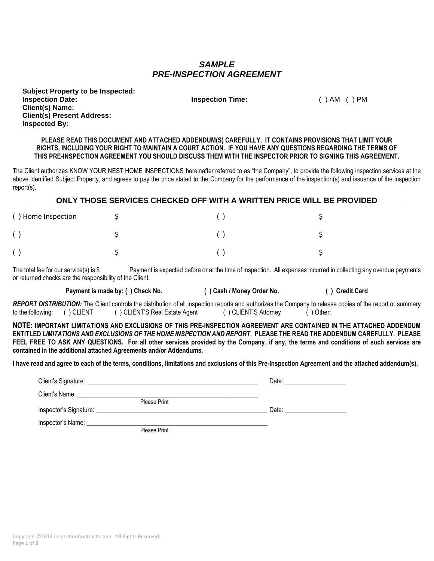## *SAMPLE PRE-INSPECTION AGREEMENT*

| <b>Subject Property to be Inspected:</b> |
|------------------------------------------|
| <b>Inspection Date:</b>                  |
| <b>Client(s) Name:</b>                   |
| <b>Client(s) Present Address:</b>        |
| <b>Inspected By:</b>                     |

**Inspection Time:** ( ) AM ( ) PM

**PLEASE READ THIS DOCUMENT AND ATTACHED ADDENDUM(S) CAREFULLY. IT CONTAINS PROVISIONS THAT LIMIT YOUR RIGHTS, INCLUDING YOUR RIGHT TO MAINTAIN A COURT ACTION. IF YOU HAVE ANY QUESTIONS REGARDING THE TERMS OF THIS PRE-INSPECTION AGREEMENT YOU SHOULD DISCUSS THEM WITH THE INSPECTOR PRIOR TO SIGNING THIS AGREEMENT.**

The Client authorizes KNOW YOUR NEST HOME INSPECTIONS hereinafter referred to as "the Company", to provide the following inspection services at the above identified Subject Property, and agrees to pay the price stated to the Company for the performance of the inspection(s) and issuance of the inspection report(s).

**\_\_\_\_\_\_\_\_\_ ONLY THOSE SERVICES CHECKED OFF WITH A WRITTEN PRICE WILL BE PROVIDED \_\_\_\_\_\_\_\_\_**

| () Home Inspection |  |  |
|--------------------|--|--|
|                    |  |  |
|                    |  |  |

The total fee for our service(s) is \$ Payment is expected before or at the time of inspection. All expenses incurred in collecting any overdue payments or returned checks are the responsibility of the Client.

**Payment is made by: ( ) Check No. ( ) Cash / Money Order No. ( ) Credit Card**

*REPORT DISTRIBUTION:* The Client controls the distribution of all inspection reports and authorizes the Company to release copies of the report or summary to the following: ( ) CLIENT ( ) CLIENT'S Real Estate Agent ( ) CLIENT'S Attorney ( ) Other:

**NOTE: IMPORTANT LIMITATIONS AND EXCLUSIONS OF THIS PRE-INSPECTION AGREEMENT ARE CONTAINED IN THE ATTACHED ADDENDUM ENTITLED** *LIMITATIONS AND EXCLUSIONS OF THE HOME INSPECTION AND REPORT***. PLEASE THE READ THE ADDENDUM CAREFULLY. PLEASE FEEL FREE TO ASK ANY QUESTIONS. For all other services provided by the Company, if any, the terms and conditions of such services are contained in the additional attached Agreements and/or Addendums.**

**I have read and agree to each of the terms, conditions, limitations and exclusions of this Pre-Inspection Agreement and the attached addendum(s).**

| Client's Signature: ____________________________ |              | Date: |
|--------------------------------------------------|--------------|-------|
| Client's Name:                                   |              |       |
|                                                  | Please Print |       |
| Inspector's Signature: _                         |              | Date: |
| Inspector's Name: _                              |              |       |
|                                                  | Please Print |       |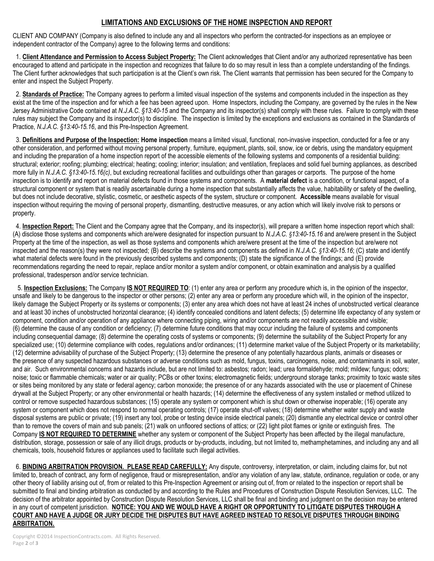## **LIMITATIONS AND EXCLUSIONS OF THE HOME INSPECTION AND REPORT**

CLIENT AND COMPANY (Company is also defined to include any and all inspectors who perform the contracted-for inspections as an employee or independent contractor of the Company) agree to the following terms and conditions:

 1. **Client Attendance and Permission to Access Subject Property:** The Client acknowledges that Client and/or any authorized representative has been encouraged to attend and participate in the inspection and recognizes that failure to do so may result in less than a complete understanding of the findings. The Client further acknowledges that such participation is at the Client's own risk. The Client warrants that permission has been secured for the Company to enter and inspect the Subject Property.

 2. **Standards of Practice:** The Company agrees to perform a limited visual inspection of the systems and components included in the inspection as they exist at the time of the inspection and for which a fee has been agreed upon. Home Inspectors, including the Company, are governed by the rules in the New Jersey Administrative Code contained at *N.J.A.C.* §13:40-15 and the Company and its inspector(s) shall comply with these rules. Failure to comply with these rules may subject the Company and its inspector(s) to discipline. The inspection is limited by the exceptions and exclusions as contained in the Standards of Practice, *N.J.A.C. §13:40-15.16*, and this Pre-Inspection Agreement.

 3. **Definitions and Purpose of the Inspection: Home inspection** means a limited visual, functional, non-invasive inspection, conducted for a fee or any other consideration, and performed without moving personal property, furniture, equipment, plants, soil, snow, ice or debris, using the mandatory equipment and including the preparation of a home inspection report of the accessible elements of the following systems and components of a residential building: structural; exterior; roofing; plumbing; electrical; heating; cooling; interior; insulation; and ventilation, fireplaces and solid fuel burning appliances, as described more fully in *N.J.A.C. §13:40-15.16(c)*, but excluding recreational facilities and outbuildings other than garages or carports. The purpose of the home inspection is to identify and report on material defects found in those systems and components. A **material defect** is a condition, or functional aspect, of a structural component or system that is readily ascertainable during a home inspection that substantially affects the value, habitability or safety of the dwelling, but does not include decorative, stylistic, cosmetic, or aesthetic aspects of the system, structure or component. **Accessible** means available for visual inspection without requiring the moving of personal property, dismantling, destructive measures, or any action which will likely involve risk to persons or property.

 4. **Inspection Report:** The Client and the Company agree that the Company, and its inspector(s), will prepare a written home inspection report which shall: (A) disclose those systems and components which are/were designated for inspection pursuant to *N.J.A.C. §13:40-15.16* and are/were present in the Subject Property at the time of the inspection, as well as those systems and components which are/were present at the time of the inspection but are/were not inspected and the reason(s) they were not inspected; (B) describe the systems and components as defined in *N.J.A.C. §13:40-15.16*; (C) state and identify what material defects were found in the previously described systems and components; (D) state the significance of the findings; and (E) provide recommendations regarding the need to repair, replace and/or monitor a system and/or component, or obtain examination and analysis by a qualified professional, tradesperson and/or service technician.

 5. **Inspection Exclusions:** The Company **IS NOT REQUIRED TO**: (1) enter any area or perform any procedure which is, in the opinion of the inspector, unsafe and likely to be dangerous to the inspector or other persons; (2) enter any area or perform any procedure which will, in the opinion of the inspector, likely damage the Subject Property or its systems or components; (3) enter any area which does not have at least 24 inches of unobstructed vertical clearance and at least 30 inches of unobstructed horizontal clearance; (4) identify concealed conditions and latent defects; (5) determine life expectancy of any system or component, condition and/or operation of any appliance where connecting piping, wiring and/or components are not readily accessible and visible; (6) determine the cause of any condition or deficiency; (7) determine future conditions that may occur including the failure of systems and components including consequential damage; (8) determine the operating costs of systems or components; (9) determine the suitability of the Subject Property for any specialized use; (10) determine compliance with codes, regulations and/or ordinances; (11) determine market value of the Subject Property or its marketability; (12) determine advisability of purchase of the Subject Property; (13) determine the presence of any potentially hazardous plants, animals or diseases or the presence of any suspected hazardous substances or adverse conditions such as mold, fungus, toxins, carcinogens, noise, and contaminants in soil, water, and air. Such environmental concerns and hazards include, but are not limited to: asbestos; radon; lead; urea formaldehyde; mold; mildew; fungus; odors; noise; toxic or flammable chemicals; water or air quality; PCBs or other toxins; electromagnetic fields; underground storage tanks; proximity to toxic waste sites or sites being monitored by any state or federal agency; carbon monoxide; the presence of or any hazards associated with the use or placement of Chinese drywall at the Subject Property; or any other environmental or health hazards; (14) determine the effectiveness of any system installed or method utilized to control or remove suspected hazardous substances; (15) operate any system or component which is shut down or otherwise inoperable; (16) operate any system or component which does not respond to normal operating controls; (17) operate shut-off valves; (18) determine whether water supply and waste disposal systems are public or private; (19) insert any tool, probe or testing device inside electrical panels; (20) dismantle any electrical device or control other than to remove the covers of main and sub panels; (21) walk on unfloored sections of attics; or (22) light pilot flames or ignite or extinguish fires. The Company **IS NOT REQUIRED TO DETERMINE** whether any system or component of the Subject Property has been affected by the illegal manufacture, distribution, storage, possession or sale of any illicit drugs, products or by-products, including, but not limited to, methamphetamines, and including any and all chemicals, tools, household fixtures or appliances used to facilitate such illegal activities.

6. **BINDING ARBITRATION PROVISION. PLEASE READ CAREFULLY:** Any dispute, controversy, interpretation, or claim, including claims for, but not limited to, breach of contract, any form of negligence, fraud or misrepresentation, and/or any violation of any law, statute, ordinance, regulation or code, or any other theory of liability arising out of, from or related to this Pre-Inspection Agreement or arising out of, from or related to the inspection or report shall be submitted to final and binding arbitration as conducted by and according to the Rules and Procedures of Construction Dispute Resolution Services, LLC. The decision of the arbitrator appointed by Construction Dispute Resolution Services, LLC shall be final and binding and judgment on the decision may be entered in any court of competent jurisdiction. **NOTICE: YOU AND WE WOULD HAVE A RIGHT OR OPPORTUNITY TO LITIGATE DISPUTES THROUGH A COURT AND HAVE A JUDGE OR JURY DECIDE THE DISPUTES BUT HAVE AGREED INSTEAD TO RESOLVE DISPUTES THROUGH BINDING ARBITRATION.**